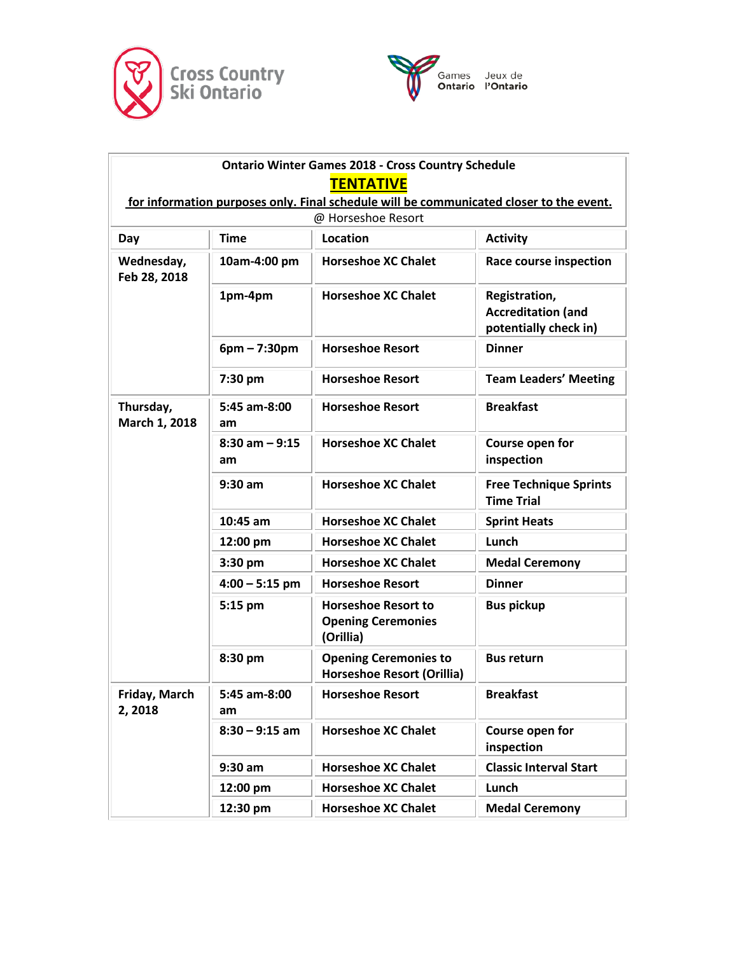



| <b>Ontario Winter Games 2018 - Cross Country Schedule</b><br><b>TENTATIVE</b><br>for information purposes only. Final schedule will be communicated closer to the event. |                         |                                                                      |                                                                     |  |  |  |
|--------------------------------------------------------------------------------------------------------------------------------------------------------------------------|-------------------------|----------------------------------------------------------------------|---------------------------------------------------------------------|--|--|--|
| @ Horseshoe Resort                                                                                                                                                       |                         |                                                                      |                                                                     |  |  |  |
| Day                                                                                                                                                                      | <b>Time</b>             | Location                                                             | <b>Activity</b>                                                     |  |  |  |
| Wednesday,<br>Feb 28, 2018                                                                                                                                               | 10am-4:00 pm            | <b>Horseshoe XC Chalet</b>                                           | <b>Race course inspection</b>                                       |  |  |  |
|                                                                                                                                                                          | 1pm-4pm                 | <b>Horseshoe XC Chalet</b>                                           | Registration,<br><b>Accreditation (and</b><br>potentially check in) |  |  |  |
|                                                                                                                                                                          | $6pm - 7:30pm$          | <b>Horseshoe Resort</b>                                              | <b>Dinner</b>                                                       |  |  |  |
|                                                                                                                                                                          | 7:30 pm                 | <b>Horseshoe Resort</b>                                              | <b>Team Leaders' Meeting</b>                                        |  |  |  |
| Thursday,<br>March 1, 2018                                                                                                                                               | 5:45 am-8:00<br>am      | <b>Horseshoe Resort</b>                                              | <b>Breakfast</b>                                                    |  |  |  |
|                                                                                                                                                                          | $8:30$ am $-9:15$<br>am | <b>Horseshoe XC Chalet</b>                                           | Course open for<br>inspection                                       |  |  |  |
|                                                                                                                                                                          | $9:30$ am               | <b>Horseshoe XC Chalet</b>                                           | <b>Free Technique Sprints</b><br><b>Time Trial</b>                  |  |  |  |
|                                                                                                                                                                          | $10:45$ am              | <b>Horseshoe XC Chalet</b>                                           | <b>Sprint Heats</b>                                                 |  |  |  |
|                                                                                                                                                                          | 12:00 pm                | <b>Horseshoe XC Chalet</b>                                           | Lunch                                                               |  |  |  |
|                                                                                                                                                                          | $3:30$ pm               | <b>Horseshoe XC Chalet</b>                                           | <b>Medal Ceremony</b>                                               |  |  |  |
|                                                                                                                                                                          | $4:00 - 5:15$ pm        | <b>Horseshoe Resort</b>                                              | <b>Dinner</b>                                                       |  |  |  |
|                                                                                                                                                                          | $5:15$ pm               | <b>Horseshoe Resort to</b><br><b>Opening Ceremonies</b><br>(Orillia) | <b>Bus pickup</b>                                                   |  |  |  |
|                                                                                                                                                                          | 8:30 pm                 | <b>Opening Ceremonies to</b><br><b>Horseshoe Resort (Orillia)</b>    | <b>Bus return</b>                                                   |  |  |  |
| Friday, March<br>2,2018                                                                                                                                                  | 5:45 am-8:00<br>am      | <b>Horseshoe Resort</b>                                              | <b>Breakfast</b>                                                    |  |  |  |
|                                                                                                                                                                          | $8:30 - 9:15$ am        | <b>Horseshoe XC Chalet</b>                                           | Course open for<br>inspection                                       |  |  |  |
|                                                                                                                                                                          | $9:30$ am               | <b>Horseshoe XC Chalet</b>                                           | <b>Classic Interval Start</b>                                       |  |  |  |
|                                                                                                                                                                          | 12:00 pm                | <b>Horseshoe XC Chalet</b>                                           | Lunch                                                               |  |  |  |
|                                                                                                                                                                          | 12:30 pm                | <b>Horseshoe XC Chalet</b>                                           | <b>Medal Ceremony</b>                                               |  |  |  |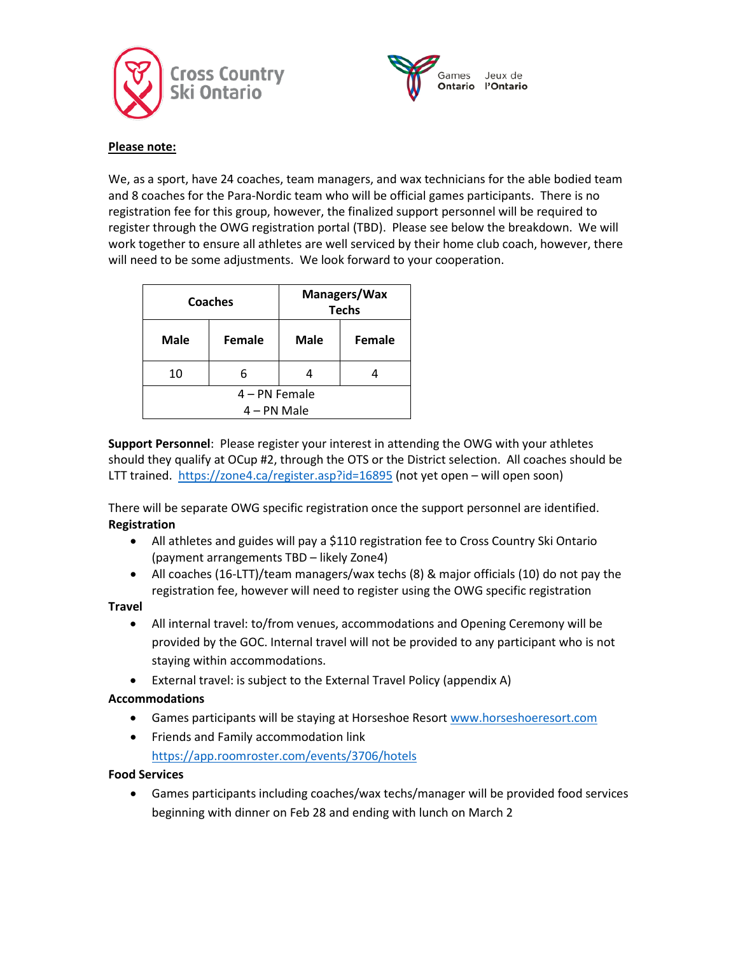



#### **Please note:**

We, as a sport, have 24 coaches, team managers, and wax technicians for the able bodied team and 8 coaches for the Para-Nordic team who will be official games participants. There is no registration fee for this group, however, the finalized support personnel will be required to register through the OWG registration portal (TBD). Please see below the breakdown. We will work together to ensure all athletes are well serviced by their home club coach, however, there will need to be some adjustments. We look forward to your cooperation.

| <b>Coaches</b> |               | Managers/Wax<br><b>Techs</b> |        |  |
|----------------|---------------|------------------------------|--------|--|
| <b>Male</b>    | <b>Female</b> | <b>Male</b>                  | Female |  |
| 10             | 6             |                              |        |  |
| 4 – PN Female  |               |                              |        |  |
| $4 - PN$ Male  |               |                              |        |  |

**Support Personnel**: Please register your interest in attending the OWG with your athletes should they qualify at OCup #2, through the OTS or the District selection. All coaches should be LTT trained. <https://zone4.ca/register.asp?id=16895> (not yet open – will open soon)

There will be separate OWG specific registration once the support personnel are identified. **Registration**

- All athletes and guides will pay a \$110 registration fee to Cross Country Ski Ontario (payment arrangements TBD – likely Zone4)
- All coaches (16-LTT)/team managers/wax techs (8) & major officials (10) do not pay the registration fee, however will need to register using the OWG specific registration

#### **Travel**

- All internal travel: to/from venues, accommodations and Opening Ceremony will be provided by the GOC. Internal travel will not be provided to any participant who is not staying within accommodations.
- External travel: is subject to the External Travel Policy (appendix A)

#### **Accommodations**

- Games participants will be staying at Horseshoe Resort [www.horseshoeresort.com](http://www.horseshoeresort.com/)
- Friends and Family accommodation link <https://app.roomroster.com/events/3706/hotels>

#### **Food Services**

• Games participants including coaches/wax techs/manager will be provided food services beginning with dinner on Feb 28 and ending with lunch on March 2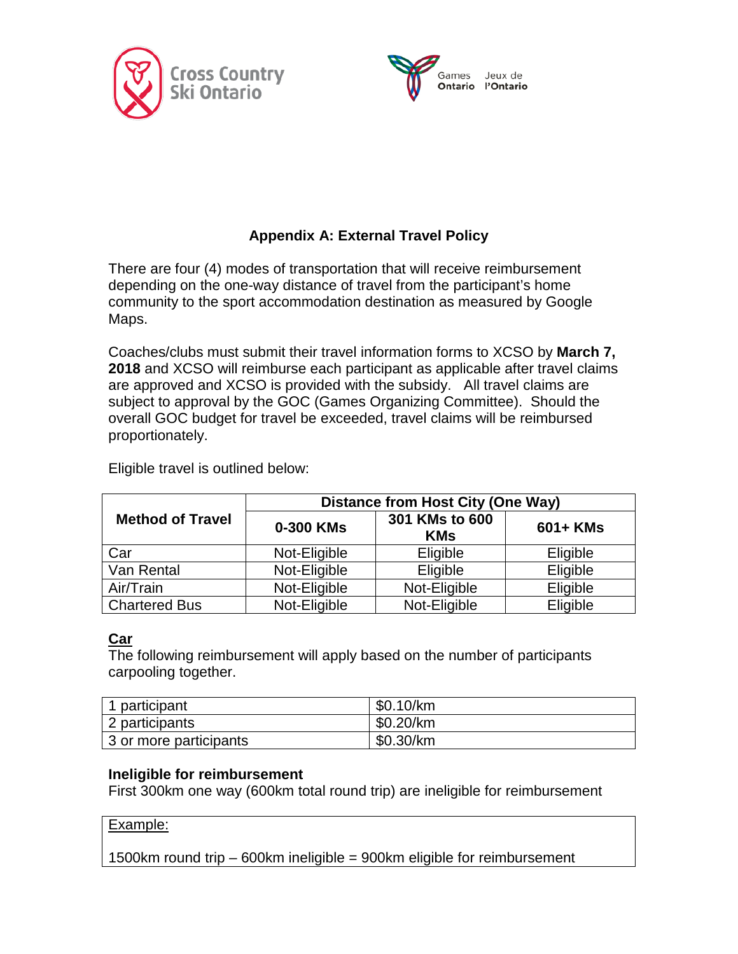



# **Appendix A: External Travel Policy**

There are four (4) modes of transportation that will receive reimbursement depending on the one-way distance of travel from the participant's home community to the sport accommodation destination as measured by Google Maps.

Coaches/clubs must submit their travel information forms to XCSO by **March 7, 2018** and XCSO will reimburse each participant as applicable after travel claims are approved and XCSO is provided with the subsidy. All travel claims are subject to approval by the GOC (Games Organizing Committee). Should the overall GOC budget for travel be exceeded, travel claims will be reimbursed proportionately.

|                         | <b>Distance from Host City (One Way)</b> |                              |          |  |
|-------------------------|------------------------------------------|------------------------------|----------|--|
| <b>Method of Travel</b> | 0-300 KMs                                | 301 KMs to 600<br><b>KMs</b> | 601+ KMs |  |
| Car                     | Not-Eligible                             | Eligible                     | Eligible |  |
| Van Rental              | Not-Eligible                             | <b>Eligible</b>              | Eligible |  |
| Air/Train               | Not-Eligible                             | Not-Eligible                 | Eligible |  |
| <b>Chartered Bus</b>    | Not-Eligible                             | Not-Eligible                 | Eligible |  |

Eligible travel is outlined below:

# **Car**

The following reimbursement will apply based on the number of participants carpooling together.

| 1 participant          | \$0.10/km |
|------------------------|-----------|
| 2 participants         | \$0.20/km |
| 3 or more participants | \$0.30/km |

## **Ineligible for reimbursement**

First 300km one way (600km total round trip) are ineligible for reimbursement

#### Example:

1500km round trip – 600km ineligible = 900km eligible for reimbursement